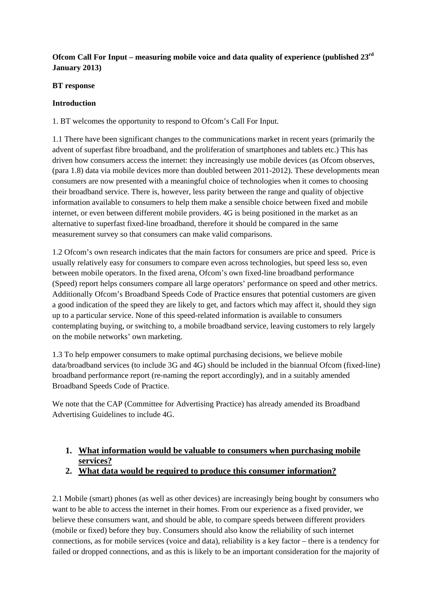### **Ofcom Call For Input – measuring mobile voice and data quality of experience (published 23rd January 2013)**

#### **BT response**

#### **Introduction**

1. BT welcomes the opportunity to respond to Ofcom's Call For Input.

1.1 There have been significant changes to the communications market in recent years (primarily the advent of superfast fibre broadband, and the proliferation of smartphones and tablets etc.) This has driven how consumers access the internet: they increasingly use mobile devices (as Ofcom observes, (para 1.8) data via mobile devices more than doubled between 2011-2012). These developments mean consumers are now presented with a meaningful choice of technologies when it comes to choosing their broadband service. There is, however, less parity between the range and quality of objective information available to consumers to help them make a sensible choice between fixed and mobile internet, or even between different mobile providers. 4G is being positioned in the market as an alternative to superfast fixed-line broadband, therefore it should be compared in the same measurement survey so that consumers can make valid comparisons.

1.2 Ofcom's own research indicates that the main factors for consumers are price and speed. Price is usually relatively easy for consumers to compare even across technologies, but speed less so, even between mobile operators. In the fixed arena, Ofcom's own fixed-line broadband performance (Speed) report helps consumers compare all large operators' performance on speed and other metrics. Additionally Ofcom's Broadband Speeds Code of Practice ensures that potential customers are given a good indication of the speed they are likely to get, and factors which may affect it, should they sign up to a particular service. None of this speed-related information is available to consumers contemplating buying, or switching to, a mobile broadband service, leaving customers to rely largely on the mobile networks' own marketing.

1.3 To help empower consumers to make optimal purchasing decisions, we believe mobile data/broadband services (to include 3G and 4G) should be included in the biannual Ofcom (fixed-line) broadband performance report (re-naming the report accordingly), and in a suitably amended Broadband Speeds Code of Practice.

We note that the CAP (Committee for Advertising Practice) has already amended its Broadband Advertising Guidelines to include 4G.

# **1. What information would be valuable to consumers when purchasing mobile services?**

**2. What data would be required to produce this consumer information?**

2.1 Mobile (smart) phones (as well as other devices) are increasingly being bought by consumers who want to be able to access the internet in their homes. From our experience as a fixed provider, we believe these consumers want, and should be able, to compare speeds between different providers (mobile or fixed) before they buy. Consumers should also know the reliability of such internet connections, as for mobile services (voice and data), reliability is a key factor – there is a tendency for failed or dropped connections, and as this is likely to be an important consideration for the majority of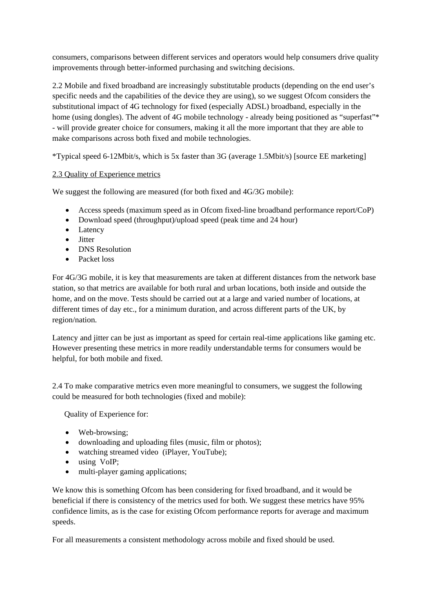consumers, comparisons between different services and operators would help consumers drive quality improvements through better-informed purchasing and switching decisions.

2.2 Mobile and fixed broadband are increasingly substitutable products (depending on the end user's specific needs and the capabilities of the device they are using), so we suggest Ofcom considers the substitutional impact of 4G technology for fixed (especially ADSL) broadband, especially in the home (using dongles). The advent of 4G mobile technology - already being positioned as "superfast"\* - will provide greater choice for consumers, making it all the more important that they are able to make comparisons across both fixed and mobile technologies.

\*Typical speed 6-12Mbit/s, which is 5x faster than 3G (average 1.5Mbit/s) [source EE marketing]

#### 2.3 Quality of Experience metrics

We suggest the following are measured (for both fixed and  $4G/3G$  mobile):

- Access speeds (maximum speed as in Ofcom fixed-line broadband performance report/CoP)
- Download speed (throughput)/upload speed (peak time and 24 hour)
- Latency
- Jitter
- DNS Resolution
- Packet loss

For 4G/3G mobile, it is key that measurements are taken at different distances from the network base station, so that metrics are available for both rural and urban locations, both inside and outside the home, and on the move. Tests should be carried out at a large and varied number of locations, at different times of day etc., for a minimum duration, and across different parts of the UK, by region/nation.

Latency and jitter can be just as important as speed for certain real-time applications like gaming etc. However presenting these metrics in more readily understandable terms for consumers would be helpful, for both mobile and fixed.

2.4 To make comparative metrics even more meaningful to consumers, we suggest the following could be measured for both technologies (fixed and mobile):

Quality of Experience for:

- Web-browsing:
- downloading and uploading files (music, film or photos);
- watching streamed video (iPlayer, YouTube);
- using VoIP;
- multi-player gaming applications;

We know this is something Ofcom has been considering for fixed broadband, and it would be beneficial if there is consistency of the metrics used for both. We suggest these metrics have 95% confidence limits, as is the case for existing Ofcom performance reports for average and maximum speeds.

For all measurements a consistent methodology across mobile and fixed should be used.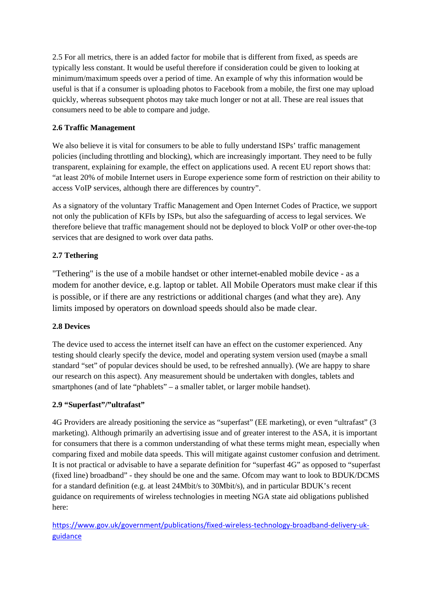2.5 For all metrics, there is an added factor for mobile that is different from fixed, as speeds are typically less constant. It would be useful therefore if consideration could be given to looking at minimum/maximum speeds over a period of time. An example of why this information would be useful is that if a consumer is uploading photos to Facebook from a mobile, the first one may upload quickly, whereas subsequent photos may take much longer or not at all. These are real issues that consumers need to be able to compare and judge.

### **2.6 Traffic Management**

We also believe it is vital for consumers to be able to fully understand ISPs' traffic management policies (including throttling and blocking), which are increasingly important. They need to be fully transparent, explaining for example, the effect on applications used. A recent EU report shows that: "at least 20% of mobile Internet users in Europe experience some form of restriction on their ability to access VoIP services, although there are differences by country".

As a signatory of the voluntary Traffic Management and Open Internet Codes of Practice, we support not only the publication of KFIs by ISPs, but also the safeguarding of access to legal services. We therefore believe that traffic management should not be deployed to block VoIP or other over-the-top services that are designed to work over data paths.

### **2.7 Tethering**

"Tethering" is the use of a mobile handset or other internet-enabled mobile device - as a modem for another device, e.g. laptop or tablet. All Mobile Operators must make clear if this is possible, or if there are any restrictions or additional charges (and what they are). Any limits imposed by operators on download speeds should also be made clear.

### **2.8 Devices**

The device used to access the internet itself can have an effect on the customer experienced. Any testing should clearly specify the device, model and operating system version used (maybe a small standard "set" of popular devices should be used, to be refreshed annually). (We are happy to share our research on this aspect). Any measurement should be undertaken with dongles, tablets and smartphones (and of late "phablets" – a smaller tablet, or larger mobile handset).

### **2.9 "Superfast"/"ultrafast"**

4G Providers are already positioning the service as "superfast" (EE marketing), or even "ultrafast" (3 marketing). Although primarily an advertising issue and of greater interest to the ASA, it is important for consumers that there is a common understanding of what these terms might mean, especially when comparing fixed and mobile data speeds. This will mitigate against customer confusion and detriment. It is not practical or advisable to have a separate definition for "superfast 4G" as opposed to "superfast (fixed line) broadband" - they should be one and the same. Ofcom may want to look to BDUK/DCMS for a standard definition (e.g. at least 24Mbit/s to 30Mbit/s), and in particular BDUK's recent guidance on requirements of wireless technologies in meeting NGA state aid obligations published here:

[https://www.gov.uk/government/publications/fixed-wireless-technology-broadband-delivery-uk](https://www.gov.uk/government/publications/fixed-wireless-technology-broadband-delivery-uk-guidance)[guidance](https://www.gov.uk/government/publications/fixed-wireless-technology-broadband-delivery-uk-guidance)